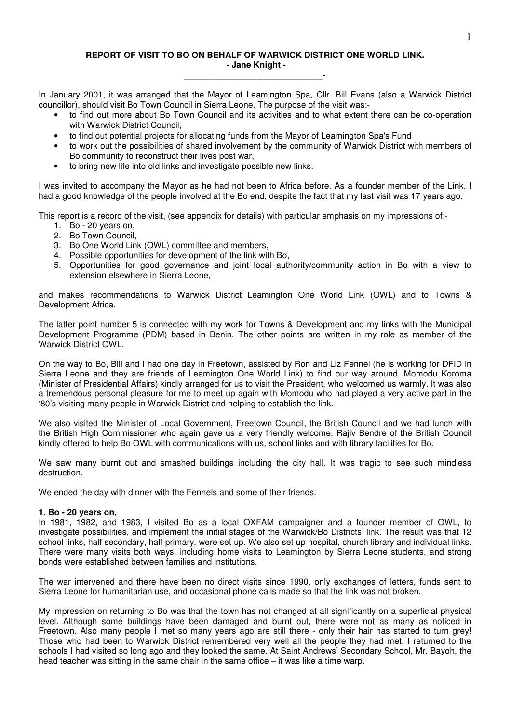## **REPORT OF VISIT TO BO ON BEHALF OF WARWICK DISTRICT ONE WORLD LINK. - Jane Knight - \_\_\_\_\_\_\_\_\_\_\_\_\_\_\_\_\_\_\_\_\_\_\_\_\_\_\_\_\_-**

In January 2001, it was arranged that the Mayor of Leamington Spa, Cllr. Bill Evans (also a Warwick District councillor), should visit Bo Town Council in Sierra Leone. The purpose of the visit was:-

- to find out more about Bo Town Council and its activities and to what extent there can be co-operation with Warwick District Council,
- to find out potential projects for allocating funds from the Mayor of Leamington Spa's Fund
- to work out the possibilities of shared involvement by the community of Warwick District with members of Bo community to reconstruct their lives post war,
- to bring new life into old links and investigate possible new links.

I was invited to accompany the Mayor as he had not been to Africa before. As a founder member of the Link, I had a good knowledge of the people involved at the Bo end, despite the fact that my last visit was 17 years ago.

This report is a record of the visit, (see appendix for details) with particular emphasis on my impressions of:-

- 1. Bo 20 years on,
- 2. Bo Town Council,
- 3. Bo One World Link (OWL) committee and members,
- 4. Possible opportunities for development of the link with Bo,
- 5. Opportunities for good governance and joint local authority/community action in Bo with a view to extension elsewhere in Sierra Leone,

and makes recommendations to Warwick District Leamington One World Link (OWL) and to Towns & Development Africa.

The latter point number 5 is connected with my work for Towns & Development and my links with the Municipal Development Programme (PDM) based in Benin. The other points are written in my role as member of the Warwick District OWL.

On the way to Bo, Bill and I had one day in Freetown, assisted by Ron and Liz Fennel (he is working for DFID in Sierra Leone and they are friends of Leamington One World Link) to find our way around. Momodu Koroma (Minister of Presidential Affairs) kindly arranged for us to visit the President, who welcomed us warmly. It was also a tremendous personal pleasure for me to meet up again with Momodu who had played a very active part in the '80's visiting many people in Warwick District and helping to establish the link.

We also visited the Minister of Local Government, Freetown Council, the British Council and we had lunch with the British High Commissioner who again gave us a very friendly welcome. Rajiv Bendre of the British Council kindly offered to help Bo OWL with communications with us, school links and with library facilities for Bo.

We saw many burnt out and smashed buildings including the city hall. It was tragic to see such mindless destruction.

We ended the day with dinner with the Fennels and some of their friends.

### **1. Bo - 20 years on,**

In 1981, 1982, and 1983, I visited Bo as a local OXFAM campaigner and a founder member of OWL, to investigate possibilities, and implement the initial stages of the Warwick/Bo Districts' link. The result was that 12 school links, half secondary, half primary, were set up. We also set up hospital, church library and individual links. There were many visits both ways, including home visits to Leamington by Sierra Leone students, and strong bonds were established between families and institutions.

The war intervened and there have been no direct visits since 1990, only exchanges of letters, funds sent to Sierra Leone for humanitarian use, and occasional phone calls made so that the link was not broken.

My impression on returning to Bo was that the town has not changed at all significantly on a superficial physical level. Although some buildings have been damaged and burnt out, there were not as many as noticed in Freetown. Also many people I met so many years ago are still there - only their hair has started to turn grey! Those who had been to Warwick District remembered very well all the people they had met. I returned to the schools I had visited so long ago and they looked the same. At Saint Andrews' Secondary School, Mr. Bayoh, the head teacher was sitting in the same chair in the same office – it was like a time warp.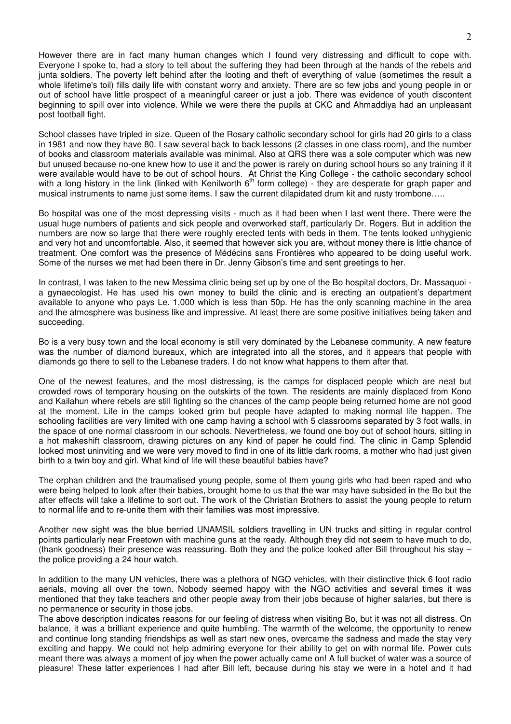However there are in fact many human changes which I found very distressing and difficult to cope with. Everyone I spoke to, had a story to tell about the suffering they had been through at the hands of the rebels and junta soldiers. The poverty left behind after the looting and theft of everything of value (sometimes the result a whole lifetime's toil) fills daily life with constant worry and anxiety. There are so few jobs and young people in or out of school have little prospect of a meaningful career or just a job. There was evidence of youth discontent beginning to spill over into violence. While we were there the pupils at CKC and Ahmaddiya had an unpleasant post football fight.

School classes have tripled in size. Queen of the Rosary catholic secondary school for girls had 20 girls to a class in 1981 and now they have 80. I saw several back to back lessons (2 classes in one class room), and the number of books and classroom materials available was minimal. Also at QRS there was a sole computer which was new but unused because no-one knew how to use it and the power is rarely on during school hours so any training if it were available would have to be out of school hours. At Christ the King College - the catholic secondary school with a long history in the link (linked with Kenilworth 6<sup>th</sup> form college) - they are desperate for graph paper and musical instruments to name just some items. I saw the current dilapidated drum kit and rusty trombone…..

Bo hospital was one of the most depressing visits - much as it had been when I last went there. There were the usual huge numbers of patients and sick people and overworked staff, particularly Dr. Rogers. But in addition the numbers are now so large that there were roughly erected tents with beds in them. The tents looked unhygienic and very hot and uncomfortable. Also, it seemed that however sick you are, without money there is little chance of treatment. One comfort was the presence of Médécins sans Frontières who appeared to be doing useful work. Some of the nurses we met had been there in Dr. Jenny Gibson's time and sent greetings to her.

In contrast, I was taken to the new Messima clinic being set up by one of the Bo hospital doctors, Dr. Massaquoi a gynaecologist. He has used his own money to build the clinic and is erecting an outpatient's department available to anyone who pays Le. 1,000 which is less than 50p. He has the only scanning machine in the area and the atmosphere was business like and impressive. At least there are some positive initiatives being taken and succeeding.

Bo is a very busy town and the local economy is still very dominated by the Lebanese community. A new feature was the number of diamond bureaux, which are integrated into all the stores, and it appears that people with diamonds go there to sell to the Lebanese traders. I do not know what happens to them after that.

One of the newest features, and the most distressing, is the camps for displaced people which are neat but crowded rows of temporary housing on the outskirts of the town. The residents are mainly displaced from Kono and Kailahun where rebels are still fighting so the chances of the camp people being returned home are not good at the moment. Life in the camps looked grim but people have adapted to making normal life happen. The schooling facilities are very limited with one camp having a school with 5 classrooms separated by 3 foot walls, in the space of one normal classroom in our schools. Nevertheless, we found one boy out of school hours, sitting in a hot makeshift classroom, drawing pictures on any kind of paper he could find. The clinic in Camp Splendid looked most uninviting and we were very moved to find in one of its little dark rooms, a mother who had just given birth to a twin boy and girl. What kind of life will these beautiful babies have?

The orphan children and the traumatised young people, some of them young girls who had been raped and who were being helped to look after their babies, brought home to us that the war may have subsided in the Bo but the after effects will take a lifetime to sort out. The work of the Christian Brothers to assist the young people to return to normal life and to re-unite them with their families was most impressive.

Another new sight was the blue berried UNAMSIL soldiers travelling in UN trucks and sitting in regular control points particularly near Freetown with machine guns at the ready. Although they did not seem to have much to do, (thank goodness) their presence was reassuring. Both they and the police looked after Bill throughout his stay – the police providing a 24 hour watch.

In addition to the many UN vehicles, there was a plethora of NGO vehicles, with their distinctive thick 6 foot radio aerials, moving all over the town. Nobody seemed happy with the NGO activities and several times it was mentioned that they take teachers and other people away from their jobs because of higher salaries, but there is no permanence or security in those jobs.

The above description indicates reasons for our feeling of distress when visiting Bo, but it was not all distress. On balance, it was a brilliant experience and quite humbling. The warmth of the welcome, the opportunity to renew and continue long standing friendships as well as start new ones, overcame the sadness and made the stay very exciting and happy. We could not help admiring everyone for their ability to get on with normal life. Power cuts meant there was always a moment of joy when the power actually came on! A full bucket of water was a source of pleasure! These latter experiences I had after Bill left, because during his stay we were in a hotel and it had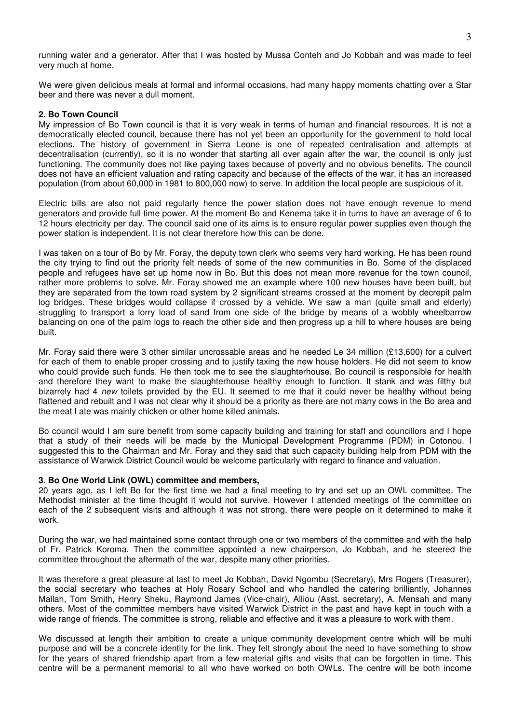running water and a generator. After that I was hosted by Mussa Conteh and Jo Kobbah and was made to feel very much at home.

We were given delicious meals at formal and informal occasions, had many happy moments chatting over a Star beer and there was never a dull moment.

#### **2. Bo Town Council**

My impression of Bo Town council is that it is very weak in terms of human and financial resources. It is not a democratically elected council, because there has not yet been an opportunity for the government to hold local elections. The history of government in Sierra Leone is one of repeated centralisation and attempts at decentralisation (currently), so it is no wonder that starting all over again after the war, the council is only just functioning. The community does not like paying taxes because of poverty and no obvious benefits. The council does not have an efficient valuation and rating capacity and because of the effects of the war, it has an increased population (from about 60,000 in 1981 to 800,000 now) to serve. In addition the local people are suspicious of it.

Electric bills are also not paid regularly hence the power station does not have enough revenue to mend generators and provide full time power. At the moment Bo and Kenema take it in turns to have an average of 6 to 12 hours electricity per day. The council said one of its aims is to ensure regular power supplies even though the power station is independent. It is not clear therefore how this can be done.

I was taken on a tour of Bo by Mr. Foray, the deputy town clerk who seems very hard working. He has been round the city trying to find out the priority felt needs of some of the new communities in Bo. Some of the displaced people and refugees have set up home now in Bo. But this does not mean more revenue for the town council, rather more problems to solve. Mr. Foray showed me an example where 100 new houses have been built, but they are separated from the town road system by 2 significant streams crossed at the moment by decrepit palm log bridges. These bridges would collapse if crossed by a vehicle. We saw a man (quite small and elderly) struggling to transport a lorry load of sand from one side of the bridge by means of a wobbly wheelbarrow balancing on one of the palm logs to reach the other side and then progress up a hill to where houses are being built.

Mr. Foray said there were 3 other similar uncrossable areas and he needed Le 34 million (£13,600) for a culvert for each of them to enable proper crossing and to justify taxing the new house holders. He did not seem to know who could provide such funds. He then took me to see the slaughterhouse. Bo council is responsible for health and therefore they want to make the slaughterhouse healthy enough to function. It stank and was filthy but bizarrely had 4 *new* toilets provided by the EU. It seemed to me that it could never be healthy without being flattened and rebuilt and I was not clear why it should be a priority as there are not many cows in the Bo area and the meat I ate was mainly chicken or other home killed animals.

Bo council would I am sure benefit from some capacity building and training for staff and councillors and I hope that a study of their needs will be made by the Municipal Development Programme (PDM) in Cotonou. I suggested this to the Chairman and Mr. Foray and they said that such capacity building help from PDM with the assistance of Warwick District Council would be welcome particularly with regard to finance and valuation.

#### **3. Bo One World Link (OWL) committee and members,**

20 years ago, as I left Bo for the first time we had a final meeting to try and set up an OWL committee. The Methodist minister at the time thought it would not survive. However I attended meetings of the committee on each of the 2 subsequent visits and although it was not strong, there were people on it determined to make it work.

During the war, we had maintained some contact through one or two members of the committee and with the help of Fr. Patrick Koroma. Then the committee appointed a new chairperson, Jo Kobbah, and he steered the committee throughout the aftermath of the war, despite many other priorities.

It was therefore a great pleasure at last to meet Jo Kobbah, David Ngombu (Secretary), Mrs Rogers (Treasurer), the social secretary who teaches at Holy Rosary School and who handled the catering brilliantly, Johannes Mallah, Tom Smith, Henry Sheku, Raymond James (Vice-chair), Alliou (Asst. secretary), A. Mensah and many others. Most of the committee members have visited Warwick District in the past and have kept in touch with a wide range of friends. The committee is strong, reliable and effective and it was a pleasure to work with them.

We discussed at length their ambition to create a unique community development centre which will be multi purpose and will be a concrete identity for the link. They felt strongly about the need to have something to show for the years of shared friendship apart from a few material gifts and visits that can be forgotten in time. This centre will be a permanent memorial to all who have worked on both OWLs. The centre will be both income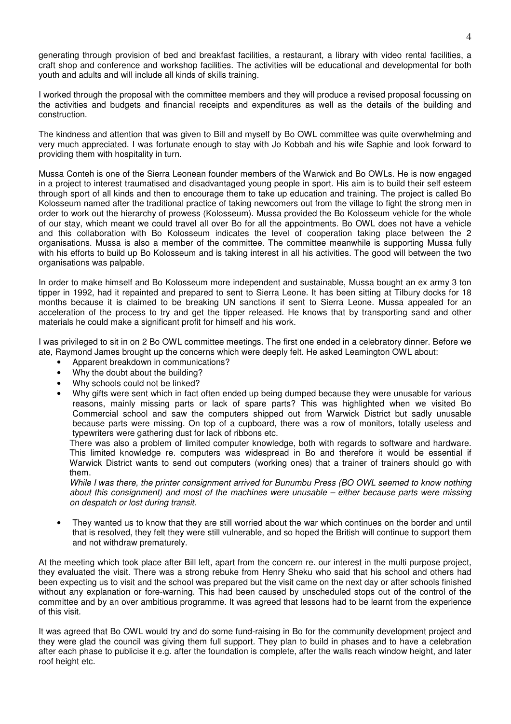generating through provision of bed and breakfast facilities, a restaurant, a library with video rental facilities, a craft shop and conference and workshop facilities. The activities will be educational and developmental for both youth and adults and will include all kinds of skills training.

I worked through the proposal with the committee members and they will produce a revised proposal focussing on the activities and budgets and financial receipts and expenditures as well as the details of the building and construction.

The kindness and attention that was given to Bill and myself by Bo OWL committee was quite overwhelming and very much appreciated. I was fortunate enough to stay with Jo Kobbah and his wife Saphie and look forward to providing them with hospitality in turn.

Mussa Conteh is one of the Sierra Leonean founder members of the Warwick and Bo OWLs. He is now engaged in a project to interest traumatised and disadvantaged young people in sport. His aim is to build their self esteem through sport of all kinds and then to encourage them to take up education and training. The project is called Bo Kolosseum named after the traditional practice of taking newcomers out from the village to fight the strong men in order to work out the hierarchy of prowess (Kolosseum). Mussa provided the Bo Kolosseum vehicle for the whole of our stay, which meant we could travel all over Bo for all the appointments. Bo OWL does not have a vehicle and this collaboration with Bo Kolosseum indicates the level of cooperation taking place between the 2 organisations. Mussa is also a member of the committee. The committee meanwhile is supporting Mussa fully with his efforts to build up Bo Kolosseum and is taking interest in all his activities. The good will between the two organisations was palpable.

In order to make himself and Bo Kolosseum more independent and sustainable, Mussa bought an ex army 3 ton tipper in 1992, had it repainted and prepared to sent to Sierra Leone. It has been sitting at Tilbury docks for 18 months because it is claimed to be breaking UN sanctions if sent to Sierra Leone. Mussa appealed for an acceleration of the process to try and get the tipper released. He knows that by transporting sand and other materials he could make a significant profit for himself and his work.

I was privileged to sit in on 2 Bo OWL committee meetings. The first one ended in a celebratory dinner. Before we ate, Raymond James brought up the concerns which were deeply felt. He asked Leamington OWL about:

- Apparent breakdown in communications?
- Why the doubt about the building?
- Why schools could not be linked?
- Why gifts were sent which in fact often ended up being dumped because they were unusable for various reasons, mainly missing parts or lack of spare parts? This was highlighted when we visited Bo Commercial school and saw the computers shipped out from Warwick District but sadly unusable because parts were missing. On top of a cupboard, there was a row of monitors, totally useless and typewriters were gathering dust for lack of ribbons etc.

There was also a problem of limited computer knowledge, both with regards to software and hardware. This limited knowledge re. computers was widespread in Bo and therefore it would be essential if Warwick District wants to send out computers (working ones) that a trainer of trainers should go with them.

*While I was there, the printer consignment arrived for Bunumbu Press (BO OWL seemed to know nothing about this consignment) and most of the machines were unusable – either because parts were missing on despatch or lost during transit.*

• They wanted us to know that they are still worried about the war which continues on the border and until that is resolved, they felt they were still vulnerable, and so hoped the British will continue to support them and not withdraw prematurely.

At the meeting which took place after Bill left, apart from the concern re. our interest in the multi purpose project, they evaluated the visit. There was a strong rebuke from Henry Sheku who said that his school and others had been expecting us to visit and the school was prepared but the visit came on the next day or after schools finished without any explanation or fore-warning. This had been caused by unscheduled stops out of the control of the committee and by an over ambitious programme. It was agreed that lessons had to be learnt from the experience of this visit.

It was agreed that Bo OWL would try and do some fund-raising in Bo for the community development project and they were glad the council was giving them full support. They plan to build in phases and to have a celebration after each phase to publicise it e.g. after the foundation is complete, after the walls reach window height, and later roof height etc.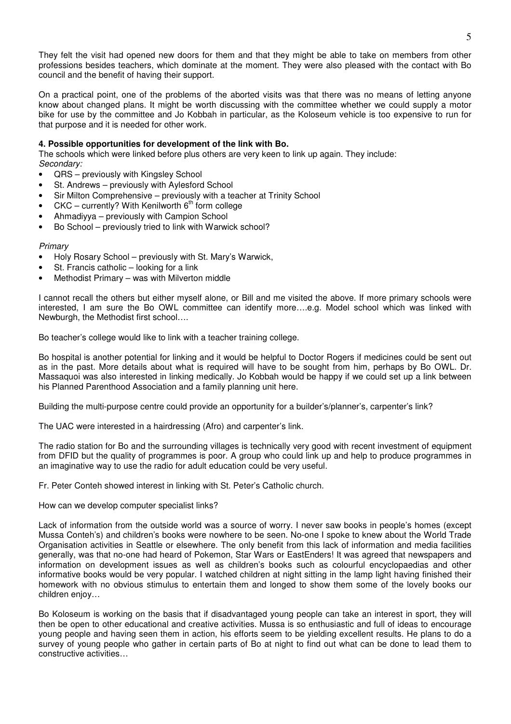They felt the visit had opened new doors for them and that they might be able to take on members from other professions besides teachers, which dominate at the moment. They were also pleased with the contact with Bo council and the benefit of having their support.

On a practical point, one of the problems of the aborted visits was that there was no means of letting anyone know about changed plans. It might be worth discussing with the committee whether we could supply a motor bike for use by the committee and Jo Kobbah in particular, as the Koloseum vehicle is too expensive to run for that purpose and it is needed for other work.

## **4. Possible opportunities for development of the link with Bo.**

The schools which were linked before plus others are very keen to link up again. They include: *Secondary:*

- QRS previously with Kingsley School
- St. Andrews previously with Aylesford School
- Sir Milton Comprehensive previously with a teacher at Trinity School
- CKC currently? With Kenilworth  $6<sup>th</sup>$  form college
- Ahmadiyya previously with Campion School
- Bo School previously tried to link with Warwick school?

### *Primary*

- Holy Rosary School previously with St. Mary's Warwick,
- St. Francis catholic looking for a link
- Methodist Primary was with Milverton middle

I cannot recall the others but either myself alone, or Bill and me visited the above. If more primary schools were interested, I am sure the Bo OWL committee can identify more….e.g. Model school which was linked with Newburgh, the Methodist first school….

Bo teacher's college would like to link with a teacher training college.

Bo hospital is another potential for linking and it would be helpful to Doctor Rogers if medicines could be sent out as in the past. More details about what is required will have to be sought from him, perhaps by Bo OWL. Dr. Massaquoi was also interested in linking medically. Jo Kobbah would be happy if we could set up a link between his Planned Parenthood Association and a family planning unit here.

Building the multi-purpose centre could provide an opportunity for a builder's/planner's, carpenter's link?

The UAC were interested in a hairdressing (Afro) and carpenter's link.

The radio station for Bo and the surrounding villages is technically very good with recent investment of equipment from DFID but the quality of programmes is poor. A group who could link up and help to produce programmes in an imaginative way to use the radio for adult education could be very useful.

Fr. Peter Conteh showed interest in linking with St. Peter's Catholic church.

How can we develop computer specialist links?

Lack of information from the outside world was a source of worry. I never saw books in people's homes (except Mussa Conteh's) and children's books were nowhere to be seen. No-one I spoke to knew about the World Trade Organisation activities in Seattle or elsewhere. The only benefit from this lack of information and media facilities generally, was that no-one had heard of Pokemon, Star Wars or EastEnders! It was agreed that newspapers and information on development issues as well as children's books such as colourful encyclopaedias and other informative books would be very popular. I watched children at night sitting in the lamp light having finished their homework with no obvious stimulus to entertain them and longed to show them some of the lovely books our children enjoy…

Bo Koloseum is working on the basis that if disadvantaged young people can take an interest in sport, they will then be open to other educational and creative activities. Mussa is so enthusiastic and full of ideas to encourage young people and having seen them in action, his efforts seem to be yielding excellent results. He plans to do a survey of young people who gather in certain parts of Bo at night to find out what can be done to lead them to constructive activities…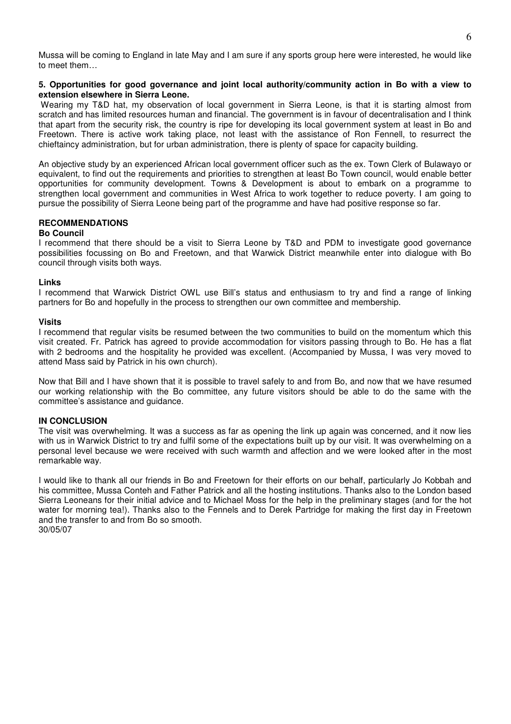Mussa will be coming to England in late May and I am sure if any sports group here were interested, he would like to meet them…

## **5. Opportunities for good governance and joint local authority/community action in Bo with a view to extension elsewhere in Sierra Leone.**

Wearing my T&D hat, my observation of local government in Sierra Leone, is that it is starting almost from scratch and has limited resources human and financial. The government is in favour of decentralisation and I think that apart from the security risk, the country is ripe for developing its local government system at least in Bo and Freetown. There is active work taking place, not least with the assistance of Ron Fennell, to resurrect the chieftaincy administration, but for urban administration, there is plenty of space for capacity building.

An objective study by an experienced African local government officer such as the ex. Town Clerk of Bulawayo or equivalent, to find out the requirements and priorities to strengthen at least Bo Town council, would enable better opportunities for community development. Towns & Development is about to embark on a programme to strengthen local government and communities in West Africa to work together to reduce poverty. I am going to pursue the possibility of Sierra Leone being part of the programme and have had positive response so far.

## **RECOMMENDATIONS**

## **Bo Council**

I recommend that there should be a visit to Sierra Leone by T&D and PDM to investigate good governance possibilities focussing on Bo and Freetown, and that Warwick District meanwhile enter into dialogue with Bo council through visits both ways.

#### **Links**

I recommend that Warwick District OWL use Bill's status and enthusiasm to try and find a range of linking partners for Bo and hopefully in the process to strengthen our own committee and membership.

#### **Visits**

I recommend that regular visits be resumed between the two communities to build on the momentum which this visit created. Fr. Patrick has agreed to provide accommodation for visitors passing through to Bo. He has a flat with 2 bedrooms and the hospitality he provided was excellent. (Accompanied by Mussa, I was very moved to attend Mass said by Patrick in his own church).

Now that Bill and I have shown that it is possible to travel safely to and from Bo, and now that we have resumed our working relationship with the Bo committee, any future visitors should be able to do the same with the committee's assistance and guidance.

## **IN CONCLUSION**

The visit was overwhelming. It was a success as far as opening the link up again was concerned, and it now lies with us in Warwick District to try and fulfil some of the expectations built up by our visit. It was overwhelming on a personal level because we were received with such warmth and affection and we were looked after in the most remarkable way.

I would like to thank all our friends in Bo and Freetown for their efforts on our behalf, particularly Jo Kobbah and his committee, Mussa Conteh and Father Patrick and all the hosting institutions. Thanks also to the London based Sierra Leoneans for their initial advice and to Michael Moss for the help in the preliminary stages (and for the hot water for morning tea!). Thanks also to the Fennels and to Derek Partridge for making the first day in Freetown and the transfer to and from Bo so smooth. 30/05/07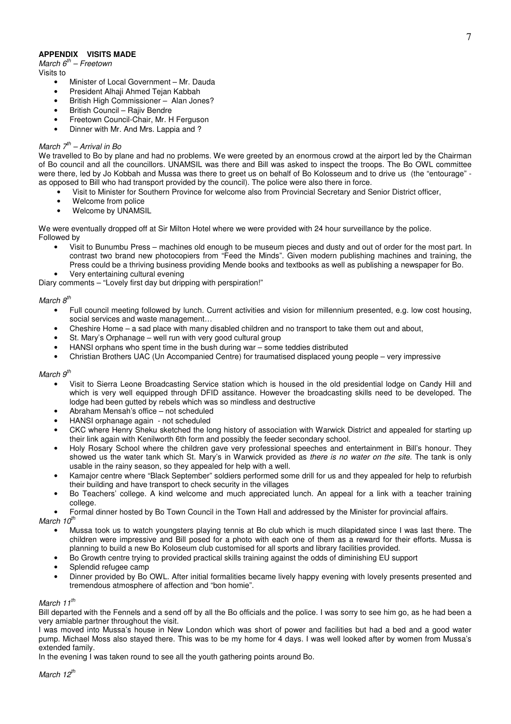## **APPENDIX VISITS MADE**

*March 6 th – Freetown*

Visits to

- Minister of Local Government Mr. Dauda
- President Alhaji Ahmed Tejan Kabbah
- British High Commissioner Alan Jones?
- British Council Raiiv Bendre
- Freetown Council-Chair, Mr. H Ferguson
- Dinner with Mr. And Mrs. Lappia and ?

### *March 7 th – Arrival in Bo*

We travelled to Bo by plane and had no problems. We were greeted by an enormous crowd at the airport led by the Chairman of Bo council and all the councillors. UNAMSIL was there and Bill was asked to inspect the troops. The Bo OWL committee were there, led by Jo Kobbah and Mussa was there to greet us on behalf of Bo Kolosseum and to drive us (the "entourage" as opposed to Bill who had transport provided by the council). The police were also there in force.

- Visit to Minister for Southern Province for welcome also from Provincial Secretary and Senior District officer,
- Welcome from police
- Welcome by UNAMSIL

We were eventually dropped off at Sir Milton Hotel where we were provided with 24 hour surveillance by the police. Followed by

• Visit to Bunumbu Press – machines old enough to be museum pieces and dusty and out of order for the most part. In contrast two brand new photocopiers from "Feed the Minds". Given modern publishing machines and training, the Press could be a thriving business providing Mende books and textbooks as well as publishing a newspaper for Bo. • Very entertaining cultural evening

Diary comments – "Lovely first day but dripping with perspiration!"

## *March 8 th*

- Full council meeting followed by lunch. Current activities and vision for millennium presented, e.g. low cost housing, social services and waste management…
- Cheshire Home a sad place with many disabled children and no transport to take them out and about,
- St. Mary's Orphanage well run with very good cultural group
- HANSI orphans who spent time in the bush during war some teddies distributed
- Christian Brothers UAC (Un Accompanied Centre) for traumatised displaced young people very impressive

### *March 9 th*

- Visit to Sierra Leone Broadcasting Service station which is housed in the old presidential lodge on Candy Hill and which is very well equipped through DFID assitance. However the broadcasting skills need to be developed. The lodge had been gutted by rebels which was so mindless and destructive
- Abraham Mensah's office not scheduled
- HANSI orphanage again not scheduled
- CKC where Henry Sheku sketched the long history of association with Warwick District and appealed for starting up their link again with Kenilworth 6th form and possibly the feeder secondary school.
- Holy Rosary School where the children gave very professional speeches and entertainment in Bill's honour. They showed us the water tank which St. Mary's in Warwick provided as *there is no water on the site.* The tank is only usable in the rainy season, so they appealed for help with a well.
- Kamajor centre where "Black September" soldiers performed some drill for us and they appealed for help to refurbish their building and have transport to check security in the villages
- Bo Teachers' college. A kind welcome and much appreciated lunch. An appeal for a link with a teacher training college.
- Formal dinner hosted by Bo Town Council in the Town Hall and addressed by the Minister for provincial affairs.

*March 10 th*

- Mussa took us to watch youngsters playing tennis at Bo club which is much dilapidated since I was last there. The children were impressive and Bill posed for a photo with each one of them as a reward for their efforts. Mussa is planning to build a new Bo Koloseum club customised for all sports and library facilities provided.
- Bo Growth centre trying to provided practical skills training against the odds of diminishing EU support
- Splendid refugee camp
- Dinner provided by Bo OWL. After initial formalities became lively happy evening with lovely presents presented and tremendous atmosphere of affection and "bon homie".

### *March 11 th*

Bill departed with the Fennels and a send off by all the Bo officials and the police. I was sorry to see him go, as he had been a very amiable partner throughout the visit.

I was moved into Mussa's house in New London which was short of power and facilities but had a bed and a good water pump. Michael Moss also stayed there. This was to be my home for 4 days. I was well looked after by women from Mussa's extended family.

In the evening I was taken round to see all the youth gathering points around Bo.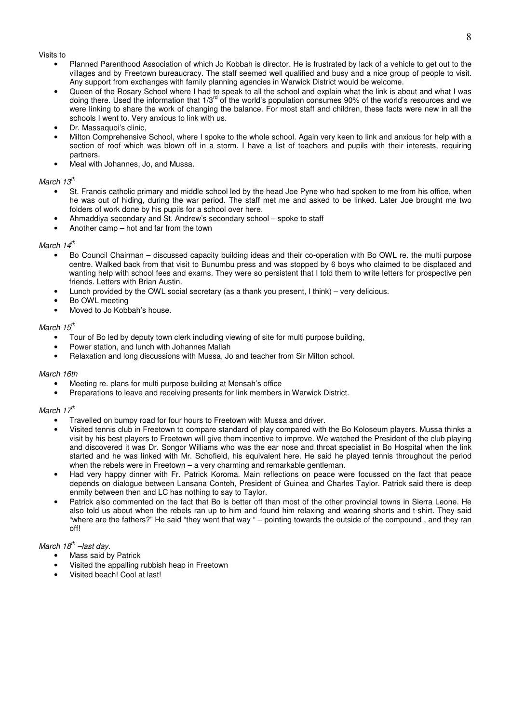#### Visits to

- Planned Parenthood Association of which Jo Kobbah is director. He is frustrated by lack of a vehicle to get out to the villages and by Freetown bureaucracy. The staff seemed well qualified and busy and a nice group of people to visit. Any support from exchanges with family planning agencies in Warwick District would be welcome.
- Queen of the Rosary School where I had to speak to all the school and explain what the link is about and what I was doing there. Used the information that 1/3<sup>rd</sup> of the world's population consumes 90% of the world's resources and we were linking to share the work of changing the balance. For most staff and children, these facts were new in all the schools I went to. Very anxious to link with us.
- Dr. Massaquoi's clinic,
- Milton Comprehensive School, where I spoke to the whole school. Again very keen to link and anxious for help with a section of roof which was blown off in a storm. I have a list of teachers and pupils with their interests, requiring partners.
- Meal with Johannes, Jo, and Mussa.

## *March 13 th*

- St. Francis catholic primary and middle school led by the head Joe Pyne who had spoken to me from his office, when he was out of hiding, during the war period. The staff met me and asked to be linked. Later Joe brought me two folders of work done by his pupils for a school over here.
- Ahmaddiya secondary and St. Andrew's secondary school spoke to staff
- Another camp hot and far from the town

## *March 14 th*

- Bo Council Chairman discussed capacity building ideas and their co-operation with Bo OWL re. the multi purpose centre. Walked back from that visit to Bunumbu press and was stopped by 6 boys who claimed to be displaced and wanting help with school fees and exams. They were so persistent that I told them to write letters for prospective pen friends. Letters with Brian Austin.
- Lunch provided by the OWL social secretary (as a thank you present, I think) very delicious.
- Bo OWL meeting
- Moved to Jo Kobbah's house.

## *March 15 th*

- Tour of Bo led by deputy town clerk including viewing of site for multi purpose building,
- Power station, and lunch with Johannes Mallah
- Relaxation and long discussions with Mussa, Jo and teacher from Sir Milton school.

#### *March 16th*

- Meeting re. plans for multi purpose building at Mensah's office
- Preparations to leave and receiving presents for link members in Warwick District.

## *March 17 th*

- Travelled on bumpy road for four hours to Freetown with Mussa and driver.
- Visited tennis club in Freetown to compare standard of play compared with the Bo Koloseum players. Mussa thinks a visit by his best players to Freetown will give them incentive to improve. We watched the President of the club playing and discovered it was Dr. Songor Williams who was the ear nose and throat specialist in Bo Hospital when the link started and he was linked with Mr. Schofield, his equivalent here. He said he played tennis throughout the period when the rebels were in Freetown – a very charming and remarkable gentleman.
- Had very happy dinner with Fr. Patrick Koroma. Main reflections on peace were focussed on the fact that peace depends on dialogue between Lansana Conteh, President of Guinea and Charles Taylor. Patrick said there is deep enmity between then and LC has nothing to say to Taylor.
- Patrick also commented on the fact that Bo is better off than most of the other provincial towns in Sierra Leone. He also told us about when the rebels ran up to him and found him relaxing and wearing shorts and t-shirt. They said "where are the fathers?" He said "they went that way " – pointing towards the outside of the compound , and they ran off!

## *March 18 th –last day.*

- Mass said by Patrick
- Visited the appalling rubbish heap in Freetown
- Visited beach! Cool at last!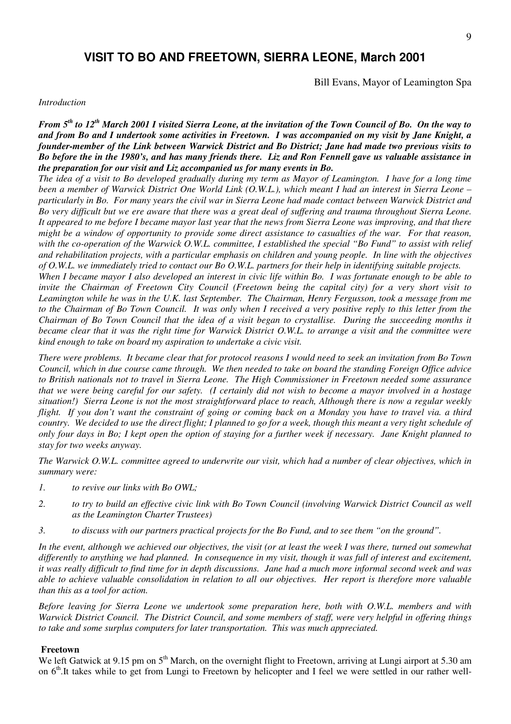# **VISIT TO BO AND FREETOWN, SIERRA LEONE, March 2001**

Bill Evans, Mayor of Leamington Spa

#### *Introduction*

From 5<sup>th</sup> to 12<sup>th</sup> March 2001 I visited Sierra Leone, at the invitation of the Town Council of Bo. On the way to and from Bo and I undertook some activities in Freetown. I was accompanied on my visit by Jane Knight, a *founder-member of the Link between Warwick District and Bo District; Jane had made two previous visits to* Bo before the in the 1980's, and has many friends there. Liz and Ron Fennell gave us valuable assistance in *the preparation for our visit and Liz accompanied us for many events in Bo.*

The idea of a visit to Bo developed gradually during my term as Mayor of Leamington. I have for a long time been a member of Warwick District One World Link  $(O.W.L.)$ , which meant I had an interest in Sierra Leone – particularly in Bo. For many years the civil war in Sierra Leone had made contact between Warwick District and Bo very difficult but we ere aware that there was a great deal of suffering and trauma throughout Sierra Leone. It appeared to me before I became mayor last year that the news from Sierra Leone was improving, and that there might be a window of opportunity to provide some direct assistance to casualties of the war. For that reason, with the co-operation of the Warwick O.W.L. committee, I established the special "Bo Fund" to assist with relief and rehabilitation projects, with a particular emphasis on children and young people. In line with the objectives of  $O.W.L.$  we immediately tried to contact our Bo  $O.W.L.$  partners for their help in identifying suitable projects.

When I became mayor I also developed an interest in civic life within Bo. I was fortunate enough to be able to invite the Chairman of Freetown City Council (Freetown being the capital city) for a very short visit to Leamington while he was in the U.K. last September. The Chairman, Henry Fergusson, took a message from me to the Chairman of Bo Town Council. It was only when I received a very positive reply to this letter from the Chairman of Bo Town Council that the idea of a visit began to crystallise. During the succeeding months it became clear that it was the right time for Warwick District O.W.L. to arrange a visit and the committee were *kind enough to take on board my aspiration to undertake a civic visit.*

There were problems. It became clear that for protocol reasons I would need to seek an invitation from Bo Town Council, which in due course came through. We then needed to take on board the standing Foreign Office advice to British nationals not to travel in Sierra Leone. The High Commissioner in Freetown needed some assurance that we were being careful for our safety. (I certainly did not wish to become a mayor involved in a hostage situation!) Sierra Leone is not the most straightforward place to reach, Although there is now a regular weekly flight. If you don't want the constraint of going or coming back on a Monday you have to travel via, a third country. We decided to use the direct flight; I planned to go for a week, though this meant a very tight schedule of only four days in Bo; I kept open the option of staying for a further week if necessary. Jane Knight planned to *stay for two weeks anyway.*

The Warwick O.W.L. committee agreed to underwrite our visit, which had a number of clear objectives, which in *summary were:*

- *1. to revive our links with Bo OWL;*
- 2. to try to build an effective civic link with Bo Town Council (involving Warwick District Council as well *as the Leamington Charter Trustees)*
- 3. to discuss with our partners practical projects for the Bo Fund, and to see them "on the ground".

In the event, although we achieved our objectives, the visit (or at least the week I was there, turned out somewhat differently to anything we had planned. In consequence in my visit, though it was full of interest and excitement, it was really difficult to find time for in depth discussions. Jane had a much more informal second week and was able to achieve valuable consolidation in relation to all our objectives. Her report is therefore more valuable *than this as a tool for action.*

*Before leaving for Sierra Leone we undertook some preparation here, both with O.W.L. members and with* Warwick District Council. The District Council, and some members of staff, were very helpful in offering things *to take and some surplus computers for later transportation. This was much appreciated.*

### **Freetown**

We left Gatwick at 9.15 pm on 5<sup>th</sup> March, on the overnight flight to Freetown, arriving at Lungi airport at 5.30 am on 6<sup>th</sup>.It takes while to get from Lungi to Freetown by helicopter and I feel we were settled in our rather well-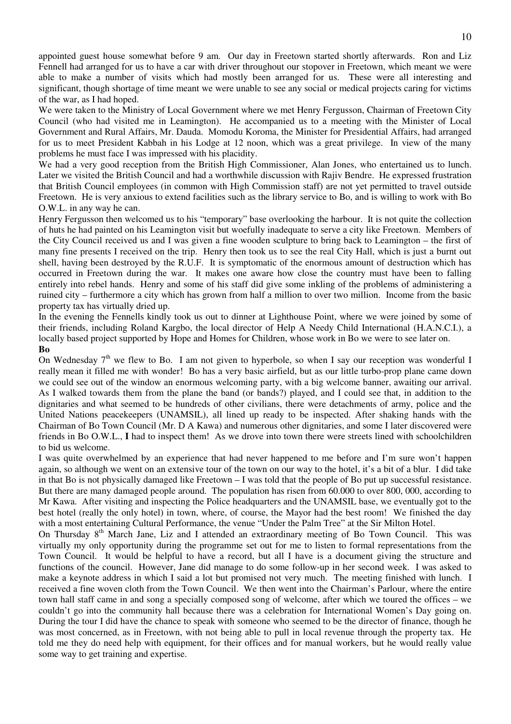appointed guest house somewhat before 9 am. Our day in Freetown started shortly afterwards. Ron and Liz Fennell had arranged for us to have a car with driver throughout our stopover in Freetown, which meant we were able to make a number of visits which had mostly been arranged for us. These were all interesting and significant, though shortage of time meant we were unable to see any social or medical projects caring for victims of the war, as I had hoped.

We were taken to the Ministry of Local Government where we met Henry Fergusson, Chairman of Freetown City Council (who had visited me in Leamington). He accompanied us to a meeting with the Minister of Local Government and Rural Affairs, Mr. Dauda. Momodu Koroma, the Minister for Presidential Affairs, had arranged for us to meet President Kabbah in his Lodge at 12 noon, which was a great privilege. In view of the many problems he must face I was impressed with his placidity.

We had a very good reception from the British High Commissioner, Alan Jones, who entertained us to lunch. Later we visited the British Council and had a worthwhile discussion with Rajiv Bendre. He expressed frustration that British Council employees (in common with High Commission staff) are not yet permitted to travel outside Freetown. He is very anxious to extend facilities such as the library service to Bo, and is willing to work with Bo O.W.L. in any way he can.

Henry Fergusson then welcomed us to his "temporary" base overlooking the harbour. It is not quite the collection of huts he had painted on his Leamington visit but woefully inadequate to serve a city like Freetown. Members of the City Council received us and I was given a fine wooden sculpture to bring back to Leamington – the first of many fine presents I received on the trip. Henry then took us to see the real City Hall, which is just a burnt out shell, having been destroyed by the R.U.F. It is symptomatic of the enormous amount of destruction which has occurred in Freetown during the war. It makes one aware how close the country must have been to falling entirely into rebel hands. Henry and some of his staff did give some inkling of the problems of administering a ruined city – furthermore a city which has grown from half a million to over two million. Income from the basic property tax has virtually dried up.

In the evening the Fennells kindly took us out to dinner at Lighthouse Point, where we were joined by some of their friends, including Roland Kargbo, the local director of Help A Needy Child International (H.A.N.C.I.), a locally based project supported by Hope and Homes for Children, whose work in Bo we were to see later on. **Bo**

On Wednesday  $7<sup>th</sup>$  we flew to Bo. I am not given to hyperbole, so when I say our reception was wonderful I really mean it filled me with wonder! Bo has a very basic airfield, but as our little turbo-prop plane came down we could see out of the window an enormous welcoming party, with a big welcome banner, awaiting our arrival. As I walked towards them from the plane the band (or bands?) played, and I could see that, in addition to the dignitaries and what seemed to be hundreds of other civilians, there were detachments of army, police and the United Nations peacekeepers (UNAMSIL), all lined up ready to be inspected. After shaking hands with the Chairman of Bo Town Council (Mr. D A Kawa) and numerous other dignitaries, and some I later discovered were friends in Bo O.W.L., **I** had to inspect them! As we drove into town there were streets lined with schoolchildren to bid us welcome.

I was quite overwhelmed by an experience that had never happened to me before and I'm sure won't happen again, so although we went on an extensive tour of the town on our way to the hotel, it's a bit of a blur. I did take in that Bo is not physically damaged like Freetown – I was told that the people of Bo put up successful resistance. But there are many damaged people around. The population has risen from 60.000 to over 800, 000, according to Mr Kawa. After visiting and inspecting the Police headquarters and the UNAMSIL base, we eventually got to the best hotel (really the only hotel) in town, where, of course, the Mayor had the best room! We finished the day with a most entertaining Cultural Performance, the venue "Under the Palm Tree" at the Sir Milton Hotel.

On Thursday 8<sup>th</sup> March Jane, Liz and I attended an extraordinary meeting of Bo Town Council. This was virtually my only opportunity during the programme set out for me to listen to formal representations from the Town Council. It would be helpful to have a record, but all I have is a document giving the structure and functions of the council. However, Jane did manage to do some follow-up in her second week. I was asked to make a keynote address in which I said a lot but promised not very much. The meeting finished with lunch. I received a fine woven cloth from the Town Council. We then went into the Chairman's Parlour, where the entire town hall staff came in and song a specially composed song of welcome, after which we toured the offices – we couldn't go into the community hall because there was a celebration for International Women's Day going on. During the tour I did have the chance to speak with someone who seemed to be the director of finance, though he was most concerned, as in Freetown, with not being able to pull in local revenue through the property tax. He told me they do need help with equipment, for their offices and for manual workers, but he would really value some way to get training and expertise.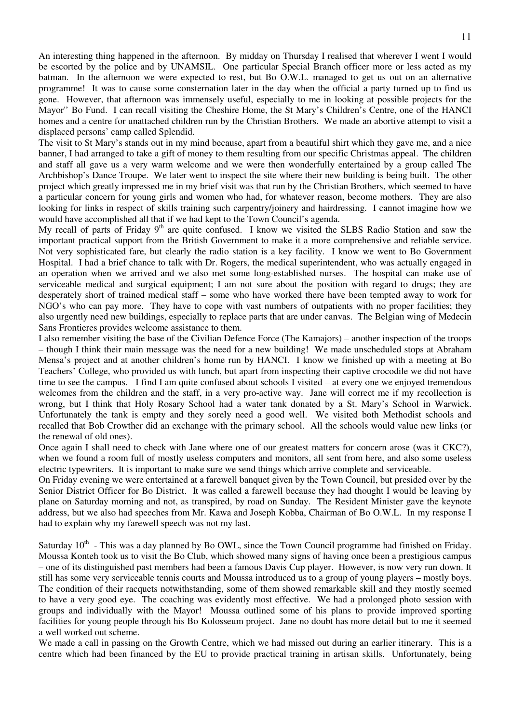An interesting thing happened in the afternoon. By midday on Thursday I realised that wherever I went I would be escorted by the police and by UNAMSIL. One particular Special Branch officer more or less acted as my batman. In the afternoon we were expected to rest, but Bo O.W.L. managed to get us out on an alternative programme! It was to cause some consternation later in the day when the official a party turned up to find us gone. However, that afternoon was immensely useful, especially to me in looking at possible projects for the Mayor'' Bo Fund. I can recall visiting the Cheshire Home, the St Mary's Children's Centre, one of the HANCI homes and a centre for unattached children run by the Christian Brothers. We made an abortive attempt to visit a displaced persons' camp called Splendid.

The visit to St Mary's stands out in my mind because, apart from a beautiful shirt which they gave me, and a nice banner, I had arranged to take a gift of money to them resulting from our specific Christmas appeal. The children and staff all gave us a very warm welcome and we were then wonderfully entertained by a group called The Archbishop's Dance Troupe. We later went to inspect the site where their new building is being built. The other project which greatly impressed me in my brief visit was that run by the Christian Brothers, which seemed to have a particular concern for young girls and women who had, for whatever reason, become mothers. They are also looking for links in respect of skills training such carpentry/joinery and hairdressing. I cannot imagine how we would have accomplished all that if we had kept to the Town Council's agenda.

My recall of parts of Friday 9<sup>th</sup> are quite confused. I know we visited the SLBS Radio Station and saw the important practical support from the British Government to make it a more comprehensive and reliable service. Not very sophisticated fare, but clearly the radio station is a key facility. I know we went to Bo Government Hospital. I had a brief chance to talk with Dr. Rogers, the medical superintendent, who was actually engaged in an operation when we arrived and we also met some long-established nurses. The hospital can make use of serviceable medical and surgical equipment; I am not sure about the position with regard to drugs; they are desperately short of trained medical staff – some who have worked there have been tempted away to work for NGO's who can pay more. They have to cope with vast numbers of outpatients with no proper facilities; they also urgently need new buildings, especially to replace parts that are under canvas. The Belgian wing of Medecin Sans Frontieres provides welcome assistance to them.

I also remember visiting the base of the Civilian Defence Force (The Kamajors) – another inspection of the troops – though I think their main message was the need for a new building! We made unscheduled stops at Abraham Mensa's project and at another children's home run by HANCI. I know we finished up with a meeting at Bo Teachers' College, who provided us with lunch, but apart from inspecting their captive crocodile we did not have time to see the campus. I find I am quite confused about schools I visited – at every one we enjoyed tremendous welcomes from the children and the staff, in a very pro-active way. Jane will correct me if my recollection is wrong, but I think that Holy Rosary School had a water tank donated by a St. Mary's School in Warwick. Unfortunately the tank is empty and they sorely need a good well. We visited both Methodist schools and recalled that Bob Crowther did an exchange with the primary school. All the schools would value new links (or the renewal of old ones).

Once again I shall need to check with Jane where one of our greatest matters for concern arose (was it CKC?), when we found a room full of mostly useless computers and monitors, all sent from here, and also some useless electric typewriters. It is important to make sure we send things which arrive complete and serviceable.

On Friday evening we were entertained at a farewell banquet given by the Town Council, but presided over by the Senior District Officer for Bo District. It was called a farewell because they had thought I would be leaving by plane on Saturday morning and not, as transpired, by road on Sunday. The Resident Minister gave the keynote address, but we also had speeches from Mr. Kawa and Joseph Kobba, Chairman of Bo O.W.L. In my response I had to explain why my farewell speech was not my last.

Saturday 10<sup>th</sup> - This was a day planned by Bo OWL, since the Town Council programme had finished on Friday. Moussa Konteh took us to visit the Bo Club, which showed many signs of having once been a prestigious campus – one of its distinguished past members had been a famous Davis Cup player. However, is now very run down. It still has some very serviceable tennis courts and Moussa introduced us to a group of young players – mostly boys. The condition of their racquets notwithstanding, some of them showed remarkable skill and they mostly seemed to have a very good eye. The coaching was evidently most effective. We had a prolonged photo session with groups and individually with the Mayor! Moussa outlined some of his plans to provide improved sporting facilities for young people through his Bo Kolosseum project. Jane no doubt has more detail but to me it seemed a well worked out scheme.

We made a call in passing on the Growth Centre, which we had missed out during an earlier itinerary. This is a centre which had been financed by the EU to provide practical training in artisan skills. Unfortunately, being